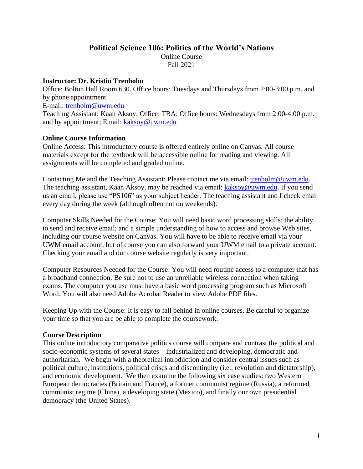## **Political Science 106: Politics of the World's Nations**

Online Course

Fall 2021

### **Instructor: Dr. Kristin Trenholm**

Office: Bolton Hall Room 630. Office hours: Tuesdays and Thursdays from 2:00-3:00 p.m. and by phone appointment E-mail: [trenholm@uwm.edu](mailto:trenholm@uwm.edu) Teaching Assistant: Kaan Aksoy; Office: TBA; Office hours: Wednesdays from 2:00-4:00 p.m. and by appointment; Email: [kaksoy@uwm.edu](mailto:kaksoy@uwm.edu)

## **Online Course Information**

Online Access: This introductory course is offered entirely online on Canvas. All course materials except for the textbook will be accessible online for reading and viewing. All assignments will be completed and graded online.

Contacting Me and the Teaching Assistant: Please contact me via email: [trenholm@uwm.edu.](mailto:trenholm@uwm.edu) The teaching assistant, Kaan Aksoy, may be reached via email: [kaksoy@uwm.edu.](mailto:kaksoy@uwm.edu) If you send us an email, please use "PS106" as your subject header. The teaching assistant and I check email every day during the week (although often not on weekends).

Computer Skills Needed for the Course: You will need basic word processing skills; the ability to send and receive email; and a simple understanding of how to access and browse Web sites, including our course website on Canvas. You will have to be able to receive email via your UWM email account, but of course you can also forward your UWM email to a private account. Checking your email and our course website regularly is very important.

Computer Resources Needed for the Course: You will need routine access to a computer that has a broadband connection. Be sure not to use an unreliable wireless connection when taking exams. The computer you use must have a basic word processing program such as Microsoft Word. You will also need Adobe Acrobat Reader to view Adobe PDF files.

Keeping Up with the Course: It is easy to fall behind in online courses. Be careful to organize your time so that you are be able to complete the coursework.

## **Course Description**

This online introductory comparative politics course will compare and contrast the political and socio-economic systems of several states—industrialized and developing, democratic and authoritarian. We begin with a theoretical introduction and consider central issues such as political culture, institutions, political crises and discontinuity (i.e., revolution and dictatorship), and economic development. We then examine the following six case studies: two Western European democracies (Britain and France), a former communist regime (Russia), a reformed communist regime (China), a developing state (Mexico), and finally our own presidential democracy (the United States).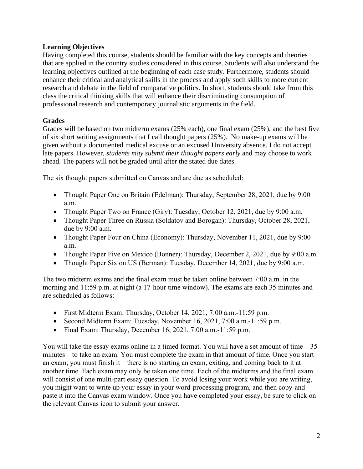## **Learning Objectives**

Having completed this course, students should be familiar with the key concepts and theories that are applied in the country studies considered in this course. Students will also understand the learning objectives outlined at the beginning of each case study. Furthermore, students should enhance their critical and analytical skills in the process and apply such skills to more current research and debate in the field of comparative politics. In short, students should take from this class the critical thinking skills that will enhance their discriminating consumption of professional research and contemporary journalistic arguments in the field.

## **Grades**

Grades will be based on two midterm exams (25% each), one final exam (25%), and the best five of six short writing assignments that I call thought papers (25%). No make-up exams will be given without a documented medical excuse or an excused University absence. I do not accept late papers. However, *students may submit their thought papers early* and may choose to work ahead. The papers will not be graded until after the stated due dates.

The six thought papers submitted on Canvas and are due as scheduled:

- Thought Paper One on Britain (Edelman): Thursday, September 28, 2021, due by 9:00 a.m.
- Thought Paper Two on France (Giry): Tuesday, October 12, 2021, due by 9:00 a.m.
- Thought Paper Three on Russia (Soldatov and Borogan): Thursday, October 28, 2021, due by 9:00 a.m.
- Thought Paper Four on China (Economy): Thursday, November 11, 2021, due by 9:00 a.m.
- Thought Paper Five on Mexico (Bonner): Thursday, December 2, 2021, due by 9:00 a.m.
- Thought Paper Six on US (Berman): Tuesday, December 14, 2021, due by 9:00 a.m.

The two midterm exams and the final exam must be taken online between 7:00 a.m. in the morning and 11:59 p.m. at night (a 17-hour time window). The exams are each 35 minutes and are scheduled as follows:

- First Midterm Exam: Thursday, October 14, 2021, 7:00 a.m.-11:59 p.m.
- Second Midterm Exam: Tuesday, November 16, 2021, 7:00 a.m.-11:59 p.m.
- Final Exam: Thursday, December 16, 2021, 7:00 a.m.-11:59 p.m.

You will take the essay exams online in a timed format. You will have a set amount of time—35 minutes—to take an exam. You must complete the exam in that amount of time. Once you start an exam, you must finish it—there is no starting an exam, exiting, and coming back to it at another time. Each exam may only be taken one time. Each of the midterms and the final exam will consist of one multi-part essay question. To avoid losing your work while you are writing, you might want to write up your essay in your word-processing program, and then copy-andpaste it into the Canvas exam window. Once you have completed your essay, be sure to click on the relevant Canvas icon to submit your answer.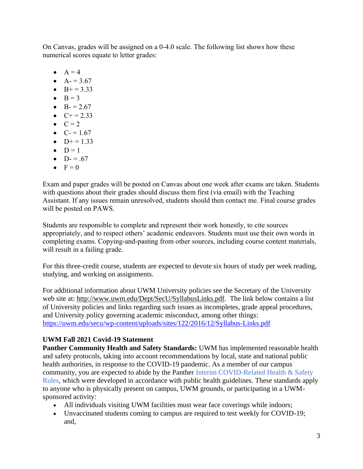On Canvas, grades will be assigned on a 0-4.0 scale. The following list shows how these numerical scores equate to letter grades:

- $\bullet$   $A = 4$
- $A = 3.67$
- $B+=3.33$
- $\bullet$  B = 3
- $B = 2.67$
- $C+=2.33$
- $\bullet$   $C = 2$
- $C = 1.67$
- $D+=1.33$  $\bullet$  D = 1
- $D = .67$
- $\bullet \quad F = 0$

Exam and paper grades will be posted on Canvas about one week after exams are taken. Students with questions about their grades should discuss them first (via email) with the Teaching Assistant. If any issues remain unresolved, students should then contact me. Final course grades will be posted on PAWS.

Students are responsible to complete and represent their work honestly, to cite sources appropriately, and to respect others' academic endeavors. Students must use their own words in completing exams. Copying-and-pasting from other sources, including course content materials, will result in a failing grade.

For this three-credit course, students are expected to devote six hours of study per week reading, studying, and working on assignments.

For additional information about UWM University policies see the Secretary of the University web site at: [http://www.uwm.edu/Dept/SecU/SyllabusLinks.pdf.](http://www.uwm.edu/Dept/SecU/SyllabusLinks.pdf) The link below contains a list of University policies and links regarding such issues as incompletes, grade appeal procedures, and University policy governing academic misconduct, among other things: <https://uwm.edu/secu/wp-content/uploads/sites/122/2016/12/Syllabus-Links.pdf>

# **UWM Fall 2021 Covid-19 Statement**

**Panther Community Health and Safety Standards:** UWM has implemented reasonable health and safety protocols, taking into account recommendations by local, state and national public health authorities, in response to the COVID-19 pandemic. As a member of our campus community, you are expected to abide by the Panther Interim COVID-Related Health & Safety Rules, which were developed in accordance with public health guidelines. These standards apply to anyone who is physically present on campus, UWM grounds, or participating in a UWMsponsored activity:

- All individuals visiting UWM facilities must wear face coverings while indoors;
- Unvaccinated students coming to campus are required to test weekly for COVID-19; and,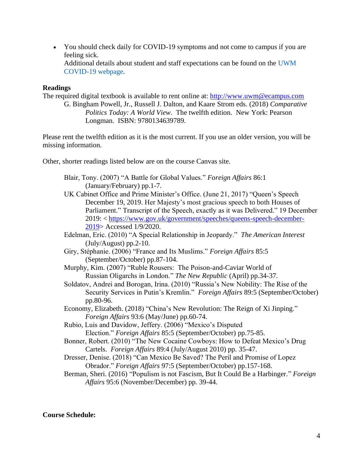• You should check daily for COVID-19 symptoms and not come to campus if you are feeling sick. Additional details about student and staff expectations can be found on the UWM COVID-19 webpage.

### **Readings**

The required digital textbook is available to rent online at: [http://www.uwm@ecampus.com](http://www.uwm@ecampus.com/) G. Bingham Powell, Jr., Russell J. Dalton, and Kaare Strom eds. (2018) *Comparative* 

*Politics Today: A World View*. The twelfth edition. New York: Pearson Longman. ISBN: 9780134639789.

Please rent the twelfth edition as it is the most current. If you use an older version, you will be missing information.

Other, shorter readings listed below are on the course Canvas site.

- Blair, Tony. (2007) "A Battle for Global Values." *Foreign Affairs* 86:1 (January/February) pp.1-7.
- UK Cabinet Office and Prime Minister's Office. (June 21, 2017) "Queen's Speech December 19, 2019. Her Majesty's most gracious speech to both Houses of Parliament." Transcript of the Speech, exactly as it was Delivered." 19 December 2019: < [https://www.gov.uk/government/speeches/queens-speech-december-](https://www.gov.uk/government/speeches/queens-speech-december-2019)[2019>](https://www.gov.uk/government/speeches/queens-speech-december-2019) Accessed 1/9/2020.
- Edelman, Eric. (2010) "A Special Relationship in Jeopardy." *The American Interest*  (July/August) pp.2-10.
- Giry, Stéphanie. (2006) "France and Its Muslims." *Foreign Affairs* 85:5 (September/October) pp.87-104.
- Murphy, Kim. (2007) "Ruble Rousers: The Poison-and-Caviar World of Russian Oligarchs in London." *The New Republic* (April) pp.34-37.
- Soldatov, Andrei and Borogan, Irina. (2010) "Russia's New Nobility: The Rise of the Security Services in Putin's Kremlin." *Foreign Affairs* 89:5 (September/October) pp.80-96.
- Economy, Elizabeth. (2018) "China's New Revolution: The Reign of Xi Jinping." *Foreign Affairs* 93:6 (May/June) pp.60-74.
- Rubio, Luis and Davidow, Jeffery. (2006) "Mexico's Disputed Election." *Foreign Affairs* 85:5 (September/October) pp.75-85.
- Bonner, Robert. (2010) "The New Cocaine Cowboys: How to Defeat Mexico's Drug Cartels. *Foreign Affairs* 89:4 (July/August 2010) pp. 35-47.
- Dresser, Denise. (2018) "Can Mexico Be Saved? The Peril and Promise of Lopez Obrador." *Foreign Affairs* 97:5 (September/October) pp.157-168.
- Berman, Sheri. (2016) "Populism is not Fascism, But It Could Be a Harbinger." *Foreign Affairs* 95:6 (November/December) pp. 39-44.

#### **Course Schedule:**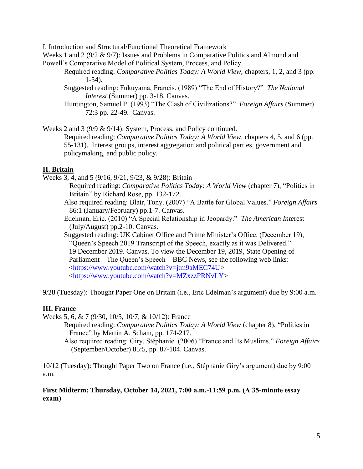I. Introduction and Structural/Functional Theoretical Framework

Weeks 1 and 2 (9/2 & 9/7): Issues and Problems in Comparative Politics and Almond and Powell's Comparative Model of Political System, Process, and Policy.

- Required reading: *Comparative Politics Today: A World View,* chapters, 1, 2, and 3 (pp. 1-54).
- Suggested reading: Fukuyama, Francis. (1989) "The End of History?" *The National Interest* (Summer) pp. 3-18. Canvas.
- Huntington, Samuel P. (1993) "The Clash of Civilizations?" *Foreign Affairs* (Summer) 72:3 pp. 22-49. Canvas.

Weeks 2 and 3 (9/9 & 9/14): System, Process, and Policy continued.

Required reading: *Comparative Politics Today: A World View,* chapters 4, 5, and 6 (pp. 55-131). Interest groups, interest aggregation and political parties, government and policymaking, and public policy.

## **II. Britain**

Weeks 3, 4, and 5 (9/16, 9/21, 9/23, & 9/28): Britain

- Required reading: *Comparative Politics Today: A World View* (chapter 7), "Politics in Britain" by Richard Rose, pp. 132-172.
- Also required reading: Blair, Tony. (2007) "A Battle for Global Values." *Foreign Affairs* 86:1 (January/February) pp.1-7. Canvas.
- Edelman, Eric. (2010) "A Special Relationship in Jeopardy." *The American Inte*rest (July/August) pp.2-10. Canvas.
- Suggested reading: UK Cabinet Office and Prime Minister's Office. (December 19), "Queen's Speech 2019 Transcript of the Speech, exactly as it was Delivered." 19 December 2019. Canvas. To view the December 19, 2019, State Opening of Parliament—The Queen's Speech—BBC News, see the following web links: [<https://www.youtube.com/watch?v=jtm9aMEC74U>](https://www.youtube.com/watch?v=jtm9aMEC74U) [<https://www.youtube.com/watch?v=MZxzzPRNvLY>](https://www.youtube.com/watch?v=MZxzzPRNvLY)

9/28 (Tuesday): Thought Paper One on Britain (i.e., Eric Edelman's argument) due by 9:00 a.m.

# **III. France**

Weeks 5, 6, & 7 (9/30, 10/5, 10/7, & 10/12): France

- Required reading: *Comparative Politics Today: A World View* (chapter 8), "Politics in France" by Martin A. Schain, pp. 174-217.
- Also required reading: Giry, Stéphanie. (2006) "France and Its Muslims." *Foreign Affairs*  (September/October) 85:5, pp. 87-104. Canvas.

10/12 (Tuesday): Thought Paper Two on France (i.e., Stéphanie Giry's argument) due by 9:00 a.m.

## **First Midterm: Thursday, October 14, 2021, 7:00 a.m.-11:59 p.m. (A 35-minute essay exam)**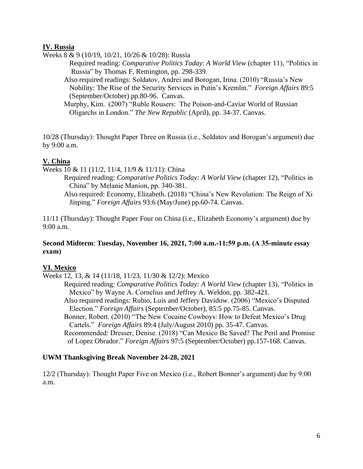### **IV. Russia**

Weeks 8 & 9 (10/19, 10/21, 10/26 & 10/28): Russia

Required reading: *Comparative Politics Today*: *A World View* (chapter 11), "Politics in Russia" by Thomas F. Remington, pp. 298-339.

Also required readings: Soldatov, Andrei and Borogan, Irina. (2010) "Russia's New Nobility: The Rise of the Security Services in Putin's Kremlin." *Foreign Affairs* 89:5 (September/October) pp.80-96. Canvas.

Murphy, Kim. (2007) "Ruble Rousers: The Poison-and-Caviar World of Russian Oligarchs in London." *The New Republic* (April), pp. 34-37. Canvas.

10/28 (Thursday): Thought Paper Three on Russia (i.e., Soldatov and Borogan's argument) due by 9:00 a.m.

## **V. China**

Weeks 10 & 11 (11/2, 11/4, 11/9 & 11/11): China

- Required reading: *Comparative Politics Today: A World View* (chapter 12), "Politics in China" by Melanie Manion, pp. 340-381.
	- Also required: Economy, Elizabeth. (2018) "China's New Revolution: The Reign of Xi Jinping." *Foreign Affairs* 93:6 (May/June) pp.60-74. Canvas.

11/11 (Thursday): Thought Paper Four on China (i.e., Elizabeth Economy's argument) due by 9:00 a.m.

### **Second Midterm**: **Tuesday, November 16, 2021, 7:00 a.m.-11:59 p.m. (A 35-minute essay exam)**

## **VI. Mexico**

Weeks 12, 13, & 14 (11/18, 11/23, 11/30 & 12/2): Mexico

Required reading: *Comparative Politics Today: A World View* (chapter 13), "Politics in Mexico" by Wayne A. Cornelius and Jeffrey A. Weldon, pp. 382-421.

Also required readings: Rubio, Luis and Jeffery Davidow. (2006) "Mexico's Disputed Election." *Foreign Affairs* (September/October), 85:5 pp.75-85. Canvas.

Bonner, Robert. (2010) "The New Cocaine Cowboys: How to Defeat Mexico's Drug Cartels." *Foreign Affairs* 89:4 (July/August 2010) pp. 35-47. Canvas.

Recommended: Dresser, Denise. (2018) "Can Mexico Be Saved? The Peril and Promise of Lopez Obrador." *Foreign Affairs* 97:5 (September/October) pp.157-168. Canvas.

## **UWM Thanksgiving Break November 24-28, 2021**

12/2 (Thursday): Thought Paper Five on Mexico (i.e., Robert Bonner's argument) due by 9:00 a.m.